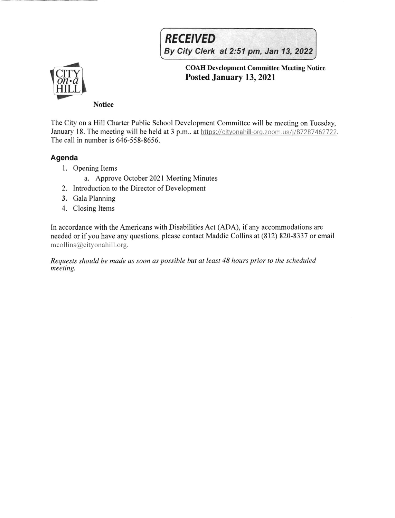# **RECEIVED**

By City Clerk at 2:51 pm, Jan 13, 2022



COAH Development Committee Meeting Notice Posted January 13,2021

### **Notice**

The City on a Hill Charter Public School Development Committee will be meeting on Tuesday, January 18. The meeting will be held at 3 p.m.. at https://cityonahill-org.zoom.us/j/87287462722. The call in number is 646-558-8656.

## Agenda

- <sup>I</sup>. Opening Items
	- a. Approve October 2021 Meeting Minutes
- 2. Introduction to the Director of Development
- 3. Gala Planning
- 4. Closing Items

In accordance with the Americans with Disabilities Act (ADA), if any accommodations are needed or if you have any questions, please contact Maddie Collins at (812) 820-8337 or email mcollins@cityonahill.org.

Requests should be made as soon as possible but at least 48 hours prior to the scheduled meeting.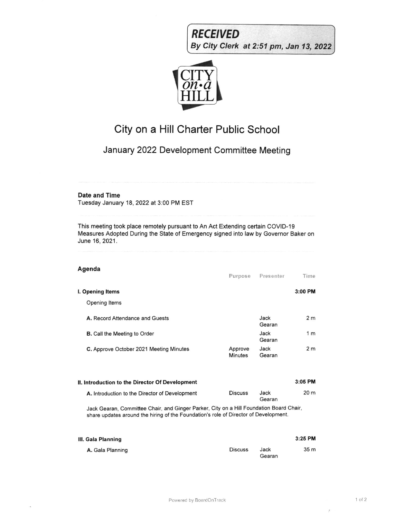



# City on a Hill Charter Public School

## January 2022 Development Committee Meeting

### Date and Time

Tuesday January 18, 2022 at 3:00 PM EST

This meeting took place remotely pursuant to An Act Extending certain COVID-19 Measures Adopted During the State of Emergency signed into law by Govemor Baker on June 16,2021.

| Agenda                                          | Purpose                   | Presenter      | Time           |
|-------------------------------------------------|---------------------------|----------------|----------------|
| I. Opening Items<br>Opening Items               |                           |                | $3:00$ PM      |
| A. Record Attendance and Guests                 |                           | Jack<br>Gearan | 2 <sub>m</sub> |
| <b>B.</b> Call the Meeting to Order             |                           | Jack<br>Gearan | 1 <sub>m</sub> |
| C. Approve October 2021 Meeting Minutes         | Approve<br><b>Minutes</b> | Jack<br>Gearan | 2 <sub>m</sub> |
| II. Introduction to the Director Of Development |                           |                | $3:05$ PM      |
| A. Introduction to the Director of Development  | <b>Discuss</b>            | Jack<br>Gearan | 20 m           |

Jack Gearan, Committee Chair, and Ginger Parker, City on a Hill Foundation Board Chair, share updates around the hiring of the Foundation's role of Director of Development.

| III. Gala Planning |                |                | 3:25 PM         |
|--------------------|----------------|----------------|-----------------|
| A. Gala Planning   | <b>Discuss</b> | Jack<br>Gearan | 35 <sub>m</sub> |